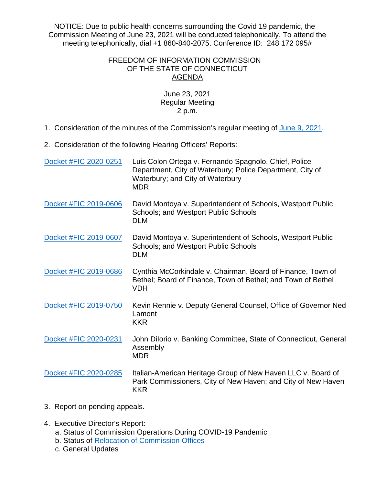NOTICE: Due to public health concerns surrounding the Covid 19 pandemic, the Commission Meeting of June 23, 2021 will be conducted telephonically. To attend the meeting telephonically, dial +1 860-840-2075. Conference ID: 248 172 095#

## FREEDOM OF INFORMATION COMMISSION OF THE STATE OF CONNECTICUT AGENDA

## June 23, 2021 Regular Meeting 2 p.m.

- 1. Consideration of the minutes of the Commission's regular meeting of [June 9, 2021.](https://portal.ct.gov/-/media/FOI/Minutes/2021/Minutes-6-9-21.pdf)
- 2. Consideration of the following Hearing Officers' Reports:

| Docket #FIC 2020-0251 | Luis Colon Ortega v. Fernando Spagnolo, Chief, Police<br>Department, City of Waterbury; Police Department, City of<br>Waterbury; and City of Waterbury<br><b>MDR</b> |
|-----------------------|----------------------------------------------------------------------------------------------------------------------------------------------------------------------|
| Docket #FIC 2019-0606 | David Montoya v. Superintendent of Schools, Westport Public<br>Schools; and Westport Public Schools<br><b>DLM</b>                                                    |
| Docket #FIC 2019-0607 | David Montoya v. Superintendent of Schools, Westport Public<br>Schools; and Westport Public Schools<br><b>DLM</b>                                                    |
| Docket #FIC 2019-0686 | Cynthia McCorkindale v. Chairman, Board of Finance, Town of<br>Bethel; Board of Finance, Town of Bethel; and Town of Bethel<br><b>VDH</b>                            |
| Docket #FIC 2019-0750 | Kevin Rennie v. Deputy General Counsel, Office of Governor Ned<br>Lamont<br><b>KKR</b>                                                                               |
| Docket #FIC 2020-0231 | John Dilorio v. Banking Committee, State of Connecticut, General<br>Assembly<br><b>MDR</b>                                                                           |
| Docket #FIC 2020-0285 | Italian-American Heritage Group of New Haven LLC v. Board of<br>Park Commissioners, City of New Haven; and City of New Haven<br><b>KKR</b>                           |

- 3. Report on pending appeals.
- 4. Executive Director's Report:
	- a. Status of Commission Operations During COVID-19 Pandemic
	- b. Status of [Relocation of Commission Offices](https://portal.ct.gov/-/media/FOI/Notices_General/New-Address-Notice-2021.pdf)
	- c. General Updates